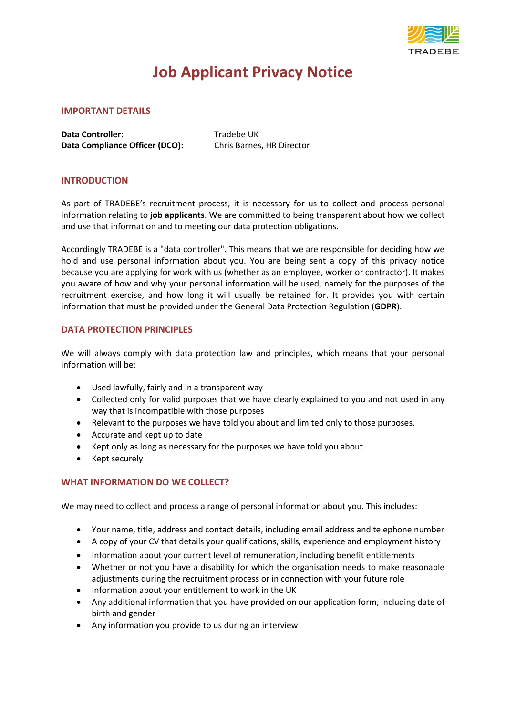

# **Job Applicant Privacy Notice**

#### **IMPORTANT DETAILS**

**Data Controller:** Tradebe UK **Data Compliance Officer (DCO):** Chris Barnes, HR Director

## **INTRODUCTION**

As part of TRADEBE's recruitment process, it is necessary for us to collect and process personal information relating to **job applicants**. We are committed to being transparent about how we collect and use that information and to meeting our data protection obligations.

Accordingly TRADEBE is a "data controller". This means that we are responsible for deciding how we hold and use personal information about you. You are being sent a copy of this privacy notice because you are applying for work with us (whether as an employee, worker or contractor). It makes you aware of how and why your personal information will be used, namely for the purposes of the recruitment exercise, and how long it will usually be retained for. It provides you with certain information that must be provided under the General Data Protection Regulation (**GDPR**).

#### **DATA PROTECTION PRINCIPLES**

We will always comply with data protection law and principles, which means that your personal information will be:

- Used lawfully, fairly and in a transparent way
- Collected only for valid purposes that we have clearly explained to you and not used in any way that is incompatible with those purposes
- Relevant to the purposes we have told you about and limited only to those purposes.
- Accurate and kept up to date
- Kept only as long as necessary for the purposes we have told you about
- Kept securely

# **WHAT INFORMATION DO WE COLLECT?**

We may need to collect and process a range of personal information about you. This includes:

- Your name, title, address and contact details, including email address and telephone number
- A copy of your CV that details your qualifications, skills, experience and employment history
- Information about your current level of remuneration, including benefit entitlements
- Whether or not you have a disability for which the organisation needs to make reasonable adjustments during the recruitment process or in connection with your future role
- Information about your entitlement to work in the UK
- Any additional information that you have provided on our application form, including date of birth and gender
- Any information you provide to us during an interview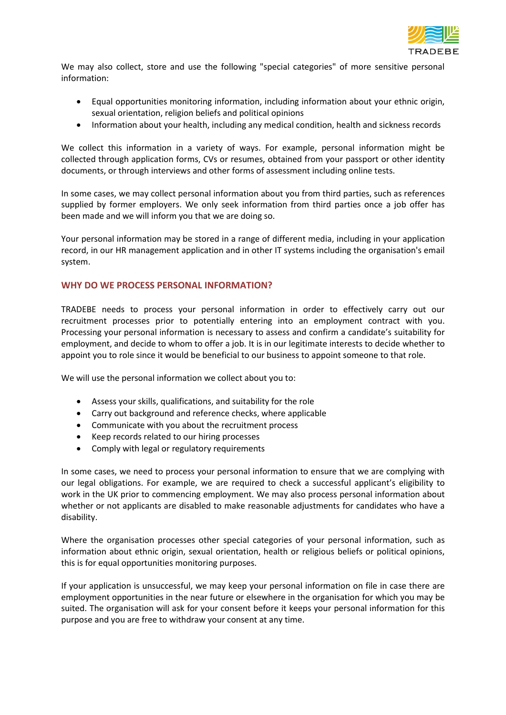

We may also collect, store and use the following "special categories" of more sensitive personal information:

- Equal opportunities monitoring information, including information about your ethnic origin, sexual orientation, religion beliefs and political opinions
- Information about your health, including any medical condition, health and sickness records

We collect this information in a variety of ways. For example, personal information might be collected through application forms, CVs or resumes, obtained from your passport or other identity documents, or through interviews and other forms of assessment including online tests.

In some cases, we may collect personal information about you from third parties, such as references supplied by former employers. We only seek information from third parties once a job offer has been made and we will inform you that we are doing so.

Your personal information may be stored in a range of different media, including in your application record, in our HR management application and in other IT systems including the organisation's email system.

## **WHY DO WE PROCESS PERSONAL INFORMATION?**

TRADEBE needs to process your personal information in order to effectively carry out our recruitment processes prior to potentially entering into an employment contract with you. Processing your personal information is necessary to assess and confirm a candidate's suitability for employment, and decide to whom to offer a job. It is in our legitimate interests to decide whether to appoint you to role since it would be beneficial to our business to appoint someone to that role.

We will use the personal information we collect about you to:

- Assess your skills, qualifications, and suitability for the role
- Carry out background and reference checks, where applicable
- Communicate with you about the recruitment process
- Keep records related to our hiring processes
- Comply with legal or regulatory requirements

In some cases, we need to process your personal information to ensure that we are complying with our legal obligations. For example, we are required to check a successful applicant's eligibility to work in the UK prior to commencing employment. We may also process personal information about whether or not applicants are disabled to make reasonable adjustments for candidates who have a disability.

Where the organisation processes other special categories of your personal information, such as information about ethnic origin, sexual orientation, health or religious beliefs or political opinions, this is for equal opportunities monitoring purposes.

If your application is unsuccessful, we may keep your personal information on file in case there are employment opportunities in the near future or elsewhere in the organisation for which you may be suited. The organisation will ask for your consent before it keeps your personal information for this purpose and you are free to withdraw your consent at any time.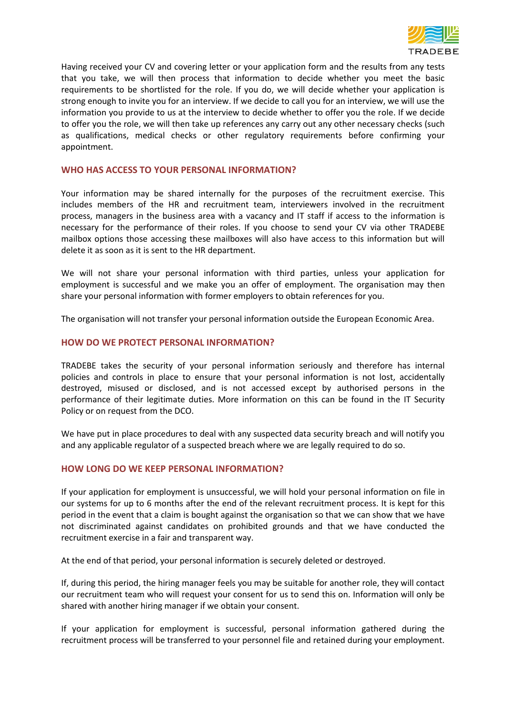

Having received your CV and covering letter or your application form and the results from any tests that you take, we will then process that information to decide whether you meet the basic requirements to be shortlisted for the role. If you do, we will decide whether your application is strong enough to invite you for an interview. If we decide to call you for an interview, we will use the information you provide to us at the interview to decide whether to offer you the role. If we decide to offer you the role, we will then take up references any carry out any other necessary checks (such as qualifications, medical checks or other regulatory requirements before confirming your appointment.

#### **WHO HAS ACCESS TO YOUR PERSONAL INFORMATION?**

Your information may be shared internally for the purposes of the recruitment exercise. This includes members of the HR and recruitment team, interviewers involved in the recruitment process, managers in the business area with a vacancy and IT staff if access to the information is necessary for the performance of their roles. If you choose to send your CV via other TRADEBE mailbox options those accessing these mailboxes will also have access to this information but will delete it as soon as it is sent to the HR department.

We will not share your personal information with third parties, unless your application for employment is successful and we make you an offer of employment. The organisation may then share your personal information with former employers to obtain references for you.

The organisation will not transfer your personal information outside the European Economic Area.

#### **HOW DO WE PROTECT PERSONAL INFORMATION?**

TRADEBE takes the security of your personal information seriously and therefore has internal policies and controls in place to ensure that your personal information is not lost, accidentally destroyed, misused or disclosed, and is not accessed except by authorised persons in the performance of their legitimate duties. More information on this can be found in the IT Security Policy or on request from the DCO.

We have put in place procedures to deal with any suspected data security breach and will notify you and any applicable regulator of a suspected breach where we are legally required to do so.

#### **HOW LONG DO WE KEEP PERSONAL INFORMATION?**

If your application for employment is unsuccessful, we will hold your personal information on file in our systems for up to 6 months after the end of the relevant recruitment process. It is kept for this period in the event that a claim is bought against the organisation so that we can show that we have not discriminated against candidates on prohibited grounds and that we have conducted the recruitment exercise in a fair and transparent way.

At the end of that period, your personal information is securely deleted or destroyed.

If, during this period, the hiring manager feels you may be suitable for another role, they will contact our recruitment team who will request your consent for us to send this on. Information will only be shared with another hiring manager if we obtain your consent.

If your application for employment is successful, personal information gathered during the recruitment process will be transferred to your personnel file and retained during your employment.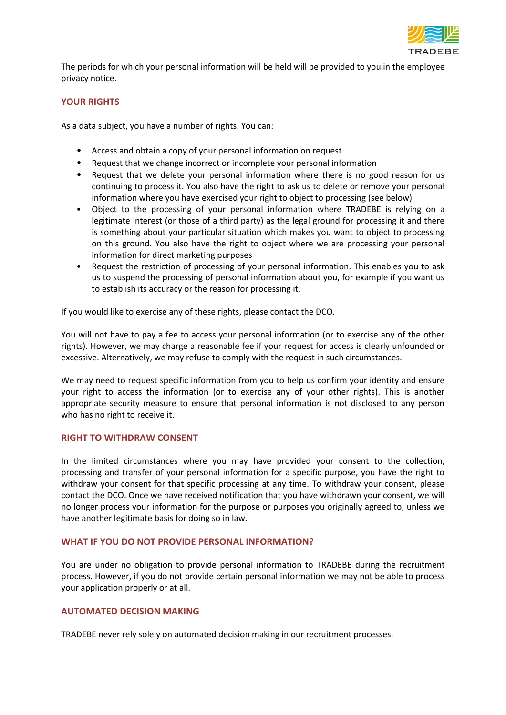

The periods for which your personal information will be held will be provided to you in the employee privacy notice.

### **YOUR RIGHTS**

As a data subject, you have a number of rights. You can:

- Access and obtain a copy of your personal information on request
- Request that we change incorrect or incomplete your personal information
- Request that we delete your personal information where there is no good reason for us continuing to process it. You also have the right to ask us to delete or remove your personal information where you have exercised your right to object to processing (see below)
- Object to the processing of your personal information where TRADEBE is relying on a legitimate interest (or those of a third party) as the legal ground for processing it and there is something about your particular situation which makes you want to object to processing on this ground. You also have the right to object where we are processing your personal information for direct marketing purposes
- Request the restriction of processing of your personal information. This enables you to ask us to suspend the processing of personal information about you, for example if you want us to establish its accuracy or the reason for processing it.

If you would like to exercise any of these rights, please contact the DCO.

You will not have to pay a fee to access your personal information (or to exercise any of the other rights). However, we may charge a reasonable fee if your request for access is clearly unfounded or excessive. Alternatively, we may refuse to comply with the request in such circumstances.

We may need to request specific information from you to help us confirm your identity and ensure your right to access the information (or to exercise any of your other rights). This is another appropriate security measure to ensure that personal information is not disclosed to any person who has no right to receive it.

#### **RIGHT TO WITHDRAW CONSENT**

In the limited circumstances where you may have provided your consent to the collection, processing and transfer of your personal information for a specific purpose, you have the right to withdraw your consent for that specific processing at any time. To withdraw your consent, please contact the DCO. Once we have received notification that you have withdrawn your consent, we will no longer process your information for the purpose or purposes you originally agreed to, unless we have another legitimate basis for doing so in law.

#### **WHAT IF YOU DO NOT PROVIDE PERSONAL INFORMATION?**

You are under no obligation to provide personal information to TRADEBE during the recruitment process. However, if you do not provide certain personal information we may not be able to process your application properly or at all.

## **AUTOMATED DECISION MAKING**

TRADEBE never rely solely on automated decision making in our recruitment processes.